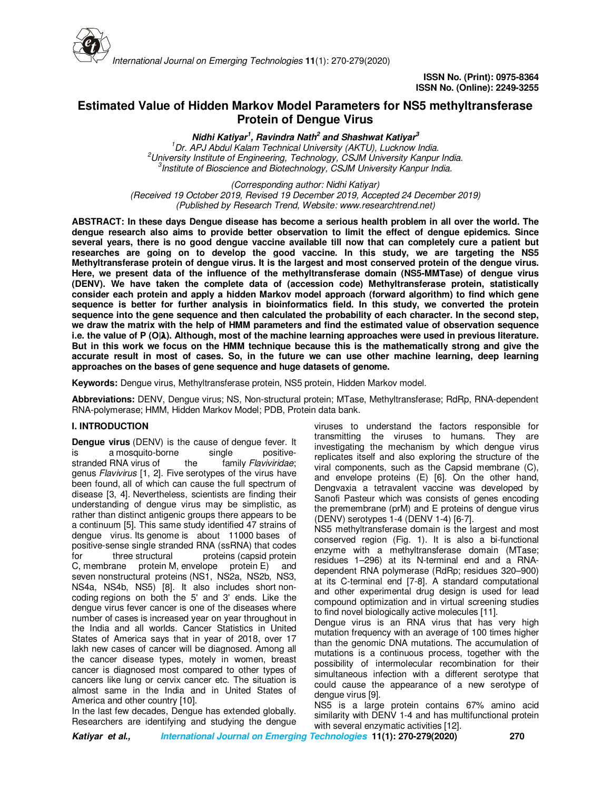

# **Estimated Value of Hidden Markov Model Parameters for NS5 methyltransferase Protein of Dengue Virus**

**Nidhi Katiyar<sup>1</sup> , Ravindra Nath<sup>2</sup> and Shashwat Katiyar<sup>3</sup>** *Dr. APJ Abdul Kalam Technical University (AKTU), Lucknow India. University Institute of Engineering, Technology, CSJM University Kanpur India. Institute of Bioscience and Biotechnology, CSJM University Kanpur India.*

*(Corresponding author: Nidhi Katiyar) (Received 19 October 2019, Revised 19 December 2019, Accepted 24 December 2019) (Published by Research Trend, Website: www.researchtrend.net)*

**ABSTRACT: In these days Dengue disease has become a serious health problem in all over the world. The dengue research also aims to provide better observation to limit the effect of dengue epidemics. Since several years, there is no good dengue vaccine available till now that can completely cure a patient but researches are going on to develop the good vaccine. In this study, we are targeting the NS5 Methyltransferase protein of dengue virus. It is the largest and most conserved protein of the dengue virus. Here, we present data of the influence of the methyltransferase domain (NS5-MMTase) of dengue virus (DENV). We have taken the complete data of (accession code) Methyltransferase protein, statistically consider each protein and apply a hidden Markov model approach (forward algorithm) to find which gene sequence is better for further analysis in bioinformatics field. In this study, we converted the protein sequence into the gene sequence and then calculated the probability of each character. In the second step, we draw the matrix with the help of HMM parameters and find the estimated value of observation sequence i.e. the value of P (O|). Although, most of the machine learning approaches were used in previous literature. But in this work we focus on the HMM technique because this is the mathematically strong and give the accurate result in most of cases. So, in the future we can use other machine learning, deep learning approaches on the bases of gene sequence and huge datasets of genome.** 

**Keywords:** Dengue virus, Methyltransferase protein, NS5 protein, Hidden Markov model.

**Abbreviations:** DENV, Dengue virus; NS, Non-structural protein; MTase, Methyltransferase; RdRp, RNA-dependent RNA-polymerase; HMM, Hidden Markov Model; PDB, Protein data bank.

#### **I. INTRODUCTION**

**Dengue virus** (DENV) is the cause of dengue fever. It is a mosquito-borne single positivestranded RNA virus of the family *Flaviviridae*; genus *Flavivirus* [1, 2]. Five serotypes of the virus have been found, all of which can cause the full spectrum of disease [3, 4]. Nevertheless, scientists are finding their understanding of dengue virus may be simplistic, as rather than distinct antigenic groups there appears to be a continuum [5]. This same study identified 47 strains of dengue virus. Its genome is about 11000 bases of positive-sense single stranded RNA (ssRNA) that codes for three structural proteins (capsid protein C, membrane protein M, envelope protein E) and seven nonstructural proteins (NS1, NS2a, NS2b, NS3, NS4a, NS4b, NS5) [8]. It also includes short noncoding regions on both the 5' and 3' ends. Like the dengue virus fever cancer is one of the diseases where number of cases is increased year on year throughout in the India and all worlds. Cancer Statistics in United States of America says that in year of 2018, over 17 lakh new cases of cancer will be diagnosed. Among all the cancer disease types, motely in women, breast cancer is diagnosed most compared to other types of cancers like lung or cervix cancer etc. The situation is almost same in the India and in United States of America and other country [10].

In the last few decades, Dengue has extended globally. Researchers are identifying and studying the dengue viruses to understand the factors responsible for transmitting the viruses to humans. They are investigating the mechanism by which dengue virus replicates itself and also exploring the structure of the viral components, such as the Capsid membrane (C), and envelope proteins (E) [6]. On the other hand, Dengvaxia a tetravalent vaccine was developed by Sanofi Pasteur which was consists of genes encoding the premembrane (prM) and E proteins of dengue virus (DENV) serotypes 1-4 (DENV 1-4) [6-7].

NS5 methyltransferase domain is the largest and most conserved region (Fig. 1). It is also a bi-functional enzyme with a methyltransferase domain (MTase; residues 1–296) at its N-terminal end and a RNAdependent RNA polymerase (RdRp; residues 320–900) at its C-terminal end [7-8]. A standard computational and other experimental drug design is used for lead compound optimization and in virtual screening studies to find novel biologically active molecules [11].

Dengue virus is an RNA virus that has very high mutation frequency with an average of 100 times higher than the genomic DNA mutations. The accumulation of mutations is a continuous process, together with the possibility of intermolecular recombination for their simultaneous infection with a different serotype that could cause the appearance of a new serotype of dengue virus [9].

NS5 is a large protein contains 67% amino acid similarity with DENV 1-4 and has multifunctional protein with several enzymatic activities [12].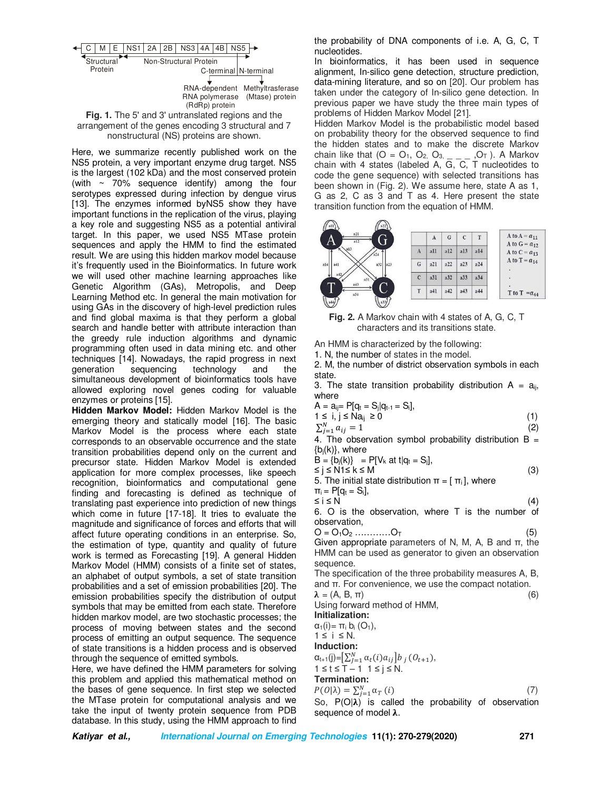

**Fig. 1.** The 5' and 3' untranslated regions and the arrangement of the genes encoding 3 structural and 7 nonstructural (NS) proteins are shown.

Here, we summarize recently published work on the NS5 protein, a very important enzyme drug target. NS5 is the largest (102 kDa) and the most conserved protein (with  $\sim$  70% sequence identify) among the four serotypes expressed during infection by dengue virus [13]. The enzymes informed byNS5 show they have important functions in the replication of the virus, playing a key role and suggesting NS5 as a potential antiviral target. In this paper, we used NS5 MTase protein sequences and apply the HMM to find the estimated result. We are using this hidden markov model because it's frequently used in the Bioinformatics. In future work we will used other machine learning approaches like Genetic Algorithm (GAs), Metropolis, and Deep Learning Method etc. In general the main motivation for using GAs in the discovery of high-level prediction rules and find global maxima is that they perform a global search and handle better with attribute interaction than the greedy rule induction algorithms and dynamic programming often used in data mining etc. and other techniques [14]. Nowadays, the rapid progress in next generation sequencing technology and the simultaneous development of bioinformatics tools have allowed exploring novel genes coding for valuable enzymes or proteins [15].

**Hidden Markov Model:** Hidden Markov Model is the emerging theory and statically model [16]. The basic Markov Model is the process where each state corresponds to an observable occurrence and the state transition probabilities depend only on the current and precursor state. Hidden Markov Model is extended application for more complex processes, like speech recognition, bioinformatics and computational gene finding and forecasting is defined as technique of translating past experience into prediction of new things which come in future [17-18]. It tries to evaluate the magnitude and significance of forces and efforts that will affect future operating conditions in an enterprise. So, the estimation of type, quantity and quality of future work is termed as Forecasting [19]. A general Hidden Markov Model (HMM) consists of a finite set of states, an alphabet of output symbols, a set of state transition probabilities and a set of emission probabilities [20]. The emission probabilities specify the distribution of output symbols that may be emitted from each state. Therefore hidden markov model, are two stochastic processes; the process of moving between states and the second process of emitting an output sequence. The sequence of state transitions is a hidden process and is observed through the sequence of emitted symbols.

Here, we have defined the HMM parameters for solving this problem and applied this mathematical method on the bases of gene sequence. In first step we selected the MTase protein for computational analysis and we take the input of twenty protein sequence from PDB database. In this study, using the HMM approach to find the probability of DNA components of i.e. A, G, C, T nucleotides.

In bioinformatics, it has been used in sequence alignment, In-silico gene detection, structure prediction, data-mining literature, and so on [20]. Our problem has taken under the category of In-silico gene detection. In previous paper we have study the three main types of problems of Hidden Markov Model [21].

Hidden Markov Model is the probabilistic model based on probability theory for the observed sequence to find the hidden states and to make the discrete Markov chain like that  $(O = O_1, O_2, O_3, \ldots, O_T)$ . A Markov chain with 4 states (labeled A, G, C, T nucleotides to code the gene sequence) with selected transitions has been shown in (Fig. 2). We assume here, state A as 1, G as 2, C as 3 and T as 4. Here present the state transition function from the equation of HMM.



**Fig. 2.** A Markov chain with 4 states of A, G, C, T characters and its transitions state.

An HMM is characterized by the following:

1. N, the number of states in the model.

2. M, the number of district observation symbols in each state.

3. The state transition probability distribution  $A = a_{ii}$ , where

$$
A = a_{ij} = P[q_t = S_j|q_{t-1} = S_i],
$$
  
1 \le i, j \le Na\_{ij} \ge 0 (1)

 $\sum_{j=1}^{N} a_{ij} = 1$  (2)

4. The observation symbol probability distribution  $B =$  ${b_i(k)}$ , where

 $B = \{b_i(k)\} = P[V_k \text{ at } t | q_t = S_i],$ 

 $≤$  j ≤ N1≤ k ≤ M (3)

5. The initial state distribution  $\pi = [\pi_i]$ , where

 $\pi_i = P[q_t = S_i],$ 

 $\leq i \leq N$  (4) 6. O is the observation, where T is the number of observation,

$$
O = O_1 O_2 \dots \dots \dots O_T \tag{5}
$$

Given appropriate parameters of N, M, A, B and  $π$ , the HMM can be used as generator to given an observation sequence.

The specification of the three probability measures A, B, and π. For convenience, we use the compact notation.

 $\lambda = (A, B, \pi)$  (6)

Using forward method of HMM,

**Initialization:**   $\alpha_1(i) = \pi_i b_i (O_1),$ 

 $1 \leq i \leq N$ .

**Induction:** 

 $\alpha_{t+1}(j) = \left[\sum_{j=1}^{N} \alpha_t(i) a_{ij}\right] b_j (0_{t+1}),$ 

 $1 \leq t \leq T - 1$   $1 \leq j \leq N$ .

## **Termination:**

$$
P(O|\lambda) = \sum_{j=1}^{N} \alpha_{T}(i)
$$
\n(7)

 $\Gamma(\mathcal{O}|\lambda) = \sum_{j=1}^{N} \alpha_j \frac{1}{N}$  is called the probability of observation sequence of model  $\lambda$ .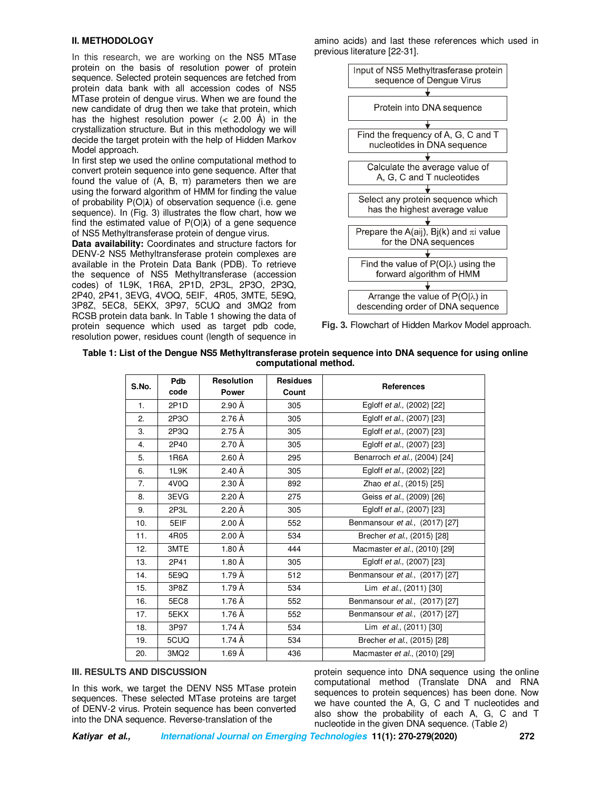#### **II. METHODOLOGY**

In this research, we are working on the NS5 MTase protein on the basis of resolution power of protein sequence. Selected protein sequences are fetched from protein data bank with all accession codes of NS5 MTase protein of dengue virus. When we are found the new candidate of drug then we take that protein, which has the highest resolution power (< 2.00 Å) in the crystallization structure. But in this methodology we will decide the target protein with the help of Hidden Markov Model approach.

In first step we used the online computational method to convert protein sequence into gene sequence. After that found the value of (A, B, π) parameters then we are using the forward algorithm of HMM for finding the value of probability  $P(O|\lambda)$  of observation sequence (i.e. gene sequence). In (Fig. 3) illustrates the flow chart, how we find the estimated value of  $P(O|\lambda)$  of a gene sequence of NS5 Methyltransferase protein of dengue virus.

**Data availability:** Coordinates and structure factors for DENV-2 NS5 Methyltransferase protein complexes are available in the Protein Data Bank (PDB). To retrieve the sequence of NS5 Methyltransferase (accession codes) of 1L9K, 1R6A, 2P1D, 2P3L, 2P3O, 2P3Q, 2P40, 2P41, 3EVG, 4VOQ, 5EIF, 4R05, 3MTE, 5E9Q, 3P8Z, 5EC8, 5EKX, 3P97, 5CUQ and 3MQ2 from RCSB protein data bank. In Table 1 showing the data of protein sequence which used as target pdb code, resolution power, residues count (length of sequence in

amino acids) and last these references which used in previous literature [22-31].



**Fig. 3.** Flowchart of Hidden Markov Model approach.

#### **Table 1: List of the Dengue NS5 Methyltransferase protein sequence into DNA sequence for using online computational method.**

| S.No. | Pdb<br>code       | <b>Resolution</b><br><b>Power</b> | <b>Residues</b><br>Count | <b>References</b>              |
|-------|-------------------|-----------------------------------|--------------------------|--------------------------------|
| 1.    | 2P <sub>1</sub> D | 2.90 Å                            | 305                      | Egloff et al., (2002) [22]     |
| 2.    | 2P3O              | 2.76 Å                            | 305                      | Egloff et al., (2007) [23]     |
| 3.    | 2P3Q              | 2.75 Å                            | 305                      | Egloff et al., (2007) [23]     |
| 4.    | 2P40              | $2.70 \text{ Å}$                  | 305                      | Egloff et al., (2007) [23]     |
| 5.    | 1R6A              | 2.60Å                             | 295                      | Benarroch et al., (2004) [24]  |
| 6.    | 1L9K              | $2.40 \text{ Å}$                  | 305                      | Egloff et al., (2002) [22]     |
| 7.    | 4V0Q              | 2.30 Å                            | 892                      | Zhao et al., (2015) [25]       |
| 8.    | 3EVG              | $2.20 \text{ Å}$                  | 275                      | Geiss et al., (2009) [26]      |
| 9.    | 2P3L              | 2.20 Å                            | 305                      | Egloff et al., (2007) [23]     |
| 10.   | 5EIF              | 2.00 Å                            | 552                      | Benmansour et al., (2017) [27] |
| 11.   | 4R05              | $2.00 \text{ Å}$                  | 534                      | Brecher et al., (2015) [28]    |
| 12.   | 3MTE              | 1.80Å                             | 444                      | Macmaster et al., (2010) [29]  |
| 13.   | 2P41              | 1.80 Å                            | 305                      | Egloff et al., (2007) [23]     |
| 14.   | 5E9Q              | 1.79 Å                            | 512                      | Benmansour et al., (2017) [27] |
| 15.   | 3P8Z              | 1.79 Å                            | 534                      | Lim et al., (2011) [30]        |
| 16.   | 5EC8              | 1.76 Å                            | 552                      | Benmansour et al., (2017) [27] |
| 17.   | 5EKX              | 1.76 Å                            | 552                      | Benmansour et al., (2017) [27] |
| 18.   | 3P97              | 1.74 Å                            | 534                      | Lim et al., (2011) [30]        |
| 19.   | 5CUQ              | 1.74 Å                            | 534                      | Brecher et al., (2015) [28]    |
| 20.   | 3MQ <sub>2</sub>  | 1.69 Å                            | 436                      | Macmaster et al., (2010) [29]  |

#### **III. RESULTS AND DISCUSSION**

In this work, we target the DENV NS5 MTase protein sequences. These selected MTase proteins are target of DENV-2 virus. Protein sequence has been converted into the DNA sequence. Reverse-translation of the

protein sequence into DNA sequence using the online computational method (Translate DNA and RNA sequences to protein sequences) has been done. Now we have counted the A, G, C and T nucleotides and also show the probability of each A, G, C and T nucleotide in the given DNA sequence. (Table 2)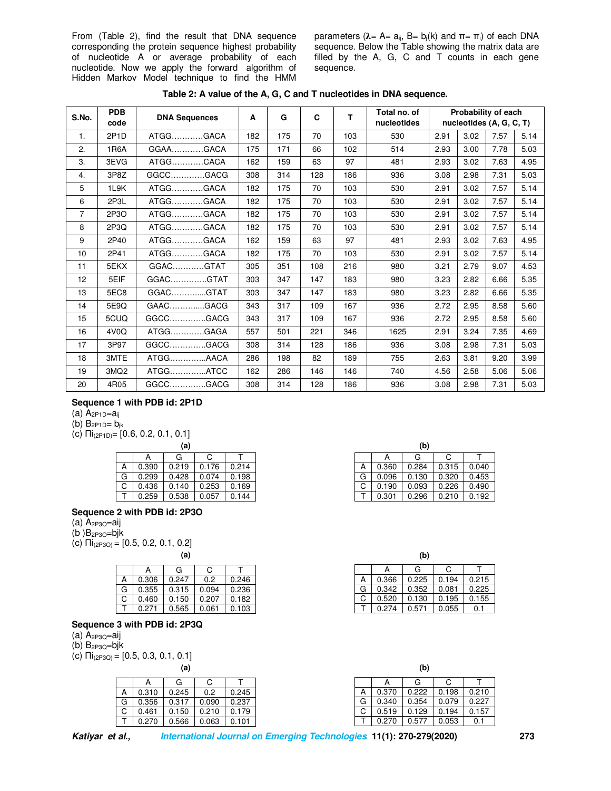From (Table 2), find the result that DNA sequence corresponding the protein sequence highest probability of nucleotide A or average probability of each nucleotide. Now we apply the forward algorithm of Hidden Markov Model technique to find the HMM parameters ( $λ = A= a_{ij}$ ,  $B= b_j(k)$  and  $π = π_i$ ) of each DNA sequence. Below the Table showing the matrix data are filled by the A, G, C and T counts in each gene sequence.

| S.No.          | <b>PDB</b><br>code | <b>DNA Sequences</b> | Α   | G   | C   | т   | Total no. of<br>nucleotides |      | Probability of each<br>nucleotides (A, G, C, T) |      |      |
|----------------|--------------------|----------------------|-----|-----|-----|-----|-----------------------------|------|-------------------------------------------------|------|------|
| 1.             | 2P <sub>1</sub> D  | GACA.<br>ATGG        | 182 | 175 | 70  | 103 | 530                         | 2.91 | 3.02                                            | 7.57 | 5.14 |
| 2.             | 1R6A               | .GACA<br>$GGAA$      | 175 | 171 | 66  | 102 | 514                         | 2.93 | 3.00                                            | 7.78 | 5.03 |
| 3.             | 3EVG               | ATGG<br>.CACA        | 162 | 159 | 63  | 97  | 481                         | 2.93 | 3.02                                            | 7.63 | 4.95 |
| 4.             | 3P8Z               | GGCC<br>.GACG        | 308 | 314 | 128 | 186 | 936                         | 3.08 | 2.98                                            | 7.31 | 5.03 |
| 5              | 1L9K               | GACA<br>ATGG         | 182 | 175 | 70  | 103 | 530                         | 2.91 | 3.02                                            | 7.57 | 5.14 |
| 6              | 2P3L               | ATGGGACA             | 182 | 175 | 70  | 103 | 530                         | 2.91 | 3.02                                            | 7.57 | 5.14 |
| $\overline{7}$ | 2P3O               | ATGG<br><b>GACA</b>  | 182 | 175 | 70  | 103 | 530                         | 2.91 | 3.02                                            | 7.57 | 5.14 |
| 8              | 2P3Q               | ATGG<br>.GACA        | 182 | 175 | 70  | 103 | 530                         | 2.91 | 3.02                                            | 7.57 | 5.14 |
| 9              | 2P40               | ATGG<br>.GACA        | 162 | 159 | 63  | 97  | 481                         | 2.93 | 3.02                                            | 7.63 | 4.95 |
| 10             | 2P41               | ATGG<br><b>GACA</b>  | 182 | 175 | 70  | 103 | 530                         | 2.91 | 3.02                                            | 7.57 | 5.14 |
| 11             | 5EKX               | GGAC<br>.GTAT        | 305 | 351 | 108 | 216 | 980                         | 3.21 | 2.79                                            | 9.07 | 4.53 |
| 12             | 5EIF               | GGACGTAT             | 303 | 347 | 147 | 183 | 980                         | 3.23 | 2.82                                            | 6.66 | 5.35 |
| 13             | 5EC8               | GGAC<br>GTAT         | 303 | 347 | 147 | 183 | 980                         | 3.23 | 2.82                                            | 6.66 | 5.35 |
| 14             | 5E9Q               | GAACGACG             | 343 | 317 | 109 | 167 | 936                         | 2.72 | 2.95                                            | 8.58 | 5.60 |
| 15             | 5CUQ               | GGCCGACG             | 343 | 317 | 109 | 167 | 936                         | 2.72 | 2.95                                            | 8.58 | 5.60 |
| 16             | 4V <sub>0</sub> Q  | ATGG<br>.GAGA        | 557 | 501 | 221 | 346 | 1625                        | 2.91 | 3.24                                            | 7.35 | 4.69 |
| 17             | 3P97               | GGCC<br>.GACG        | 308 | 314 | 128 | 186 | 936                         | 3.08 | 2.98                                            | 7.31 | 5.03 |
| 18             | 3MTE               | ATGG<br>.AACA        | 286 | 198 | 82  | 189 | 755                         | 2.63 | 3.81                                            | 9.20 | 3.99 |
| 19             | 3MQ <sub>2</sub>   | ATGGATCC             | 162 | 286 | 146 | 146 | 740                         | 4.56 | 2.58                                            | 5.06 | 5.06 |
| 20             | 4R05               | GGCCGACG             | 308 | 314 | 128 | 186 | 936                         | 3.08 | 2.98                                            | 7.31 | 5.03 |

**Table 2: A value of the A, G, C and T nucleotides in DNA sequence.** 

#### **Sequence 1 with PDB id: 2P1D**

- (a)  $A_{2P1D}=a_{ii}$
- (b)  $B_{2P1D} = b_{ik}$

(c)  $\prod_{(2P1D)}$ = [0.6, 0.2, 0.1, 0.1]

|   | (a)   |       |       |       |  |  |  |
|---|-------|-------|-------|-------|--|--|--|
|   |       | G     | C     |       |  |  |  |
| А | 0.390 | 0.219 | 0.176 | 0.214 |  |  |  |
| G | 0.299 | 0.428 | 0.074 | 0.198 |  |  |  |
| C | 0.436 | 0.140 | 0.253 | 0.169 |  |  |  |
|   | 0.259 | 0.538 | 0.057 | 0.144 |  |  |  |

### **Sequence 2 with PDB id: 2P3O**

- (a)  $A_{2P3O}$ =aij
- $(b)$  $B_{2P3O}$ = $bjk$
- (c) Πi(2P3O) = [0.5, 0.2, 0.1, 0.2]

|   |       | G     | C.    |       |
|---|-------|-------|-------|-------|
| А | 0.306 | 0.247 | 0.2   | 0.246 |
| G | 0.355 | 0.315 | 0.094 | 0.236 |
| C | 0.460 | 0.150 | 0.207 | 0.182 |
|   | 0.271 | 0.565 | 0.061 | 0.103 |

### **Sequence 3 with PDB id: 2P3Q**

- $(A)$  A<sub>2P3O</sub>=aij
- $(b)$  B<sub>2P3Q</sub>=bj $k$
- (c)  $\Pi_{(2P3Q)} = [0.5, 0.3, 0.1, 0.1]$

|   |       | G     | C     |       |
|---|-------|-------|-------|-------|
| А | 0.310 | 0.245 | 0.2   | 0.245 |
| G | 0.356 | 0.317 | 0.090 | 0.237 |
| C | 0.461 | 0.150 | 0.210 | 0.179 |
|   | 0.270 | 0.566 | 0.063 | 0.101 |
|   |       |       |       |       |

| (a) |       |       |   |       | (b)   |       |       |
|-----|-------|-------|---|-------|-------|-------|-------|
|     |       |       |   |       | G     | С     |       |
| 19  | 0.176 | 0.214 | Α | 0.360 | 0.284 | 0.315 | 0.040 |
| 28  | 0.074 | 0.198 | G | 0.096 | 0.130 | 0.320 | 0.453 |
| 40  | 0.253 | 0.169 | ◡ | 0.190 | 0.093 | 0.226 | 0.490 |
| 38  | 0.057 | 0.144 |   | 0.301 | 0.296 | 0.210 | 0.192 |

**(a) (b)**  | A | G | C | T A 0.366 0.225 0.194 0.215<br>G 0.342 0.352 0.081 0.225 G 0.342 0.352 0.081 0.225<br>C 0.520 0.130 0.195 0.155  $0.520$ T 0.274 0.571 0.055 0.1

| 0.370<br>А           | 0.245 |
|----------------------|-------|
| G<br>0.340           | 0.237 |
| $\sim$<br>0.519<br>◡ | 0.179 |
| 0.270                | 0.101 |
|                      |       |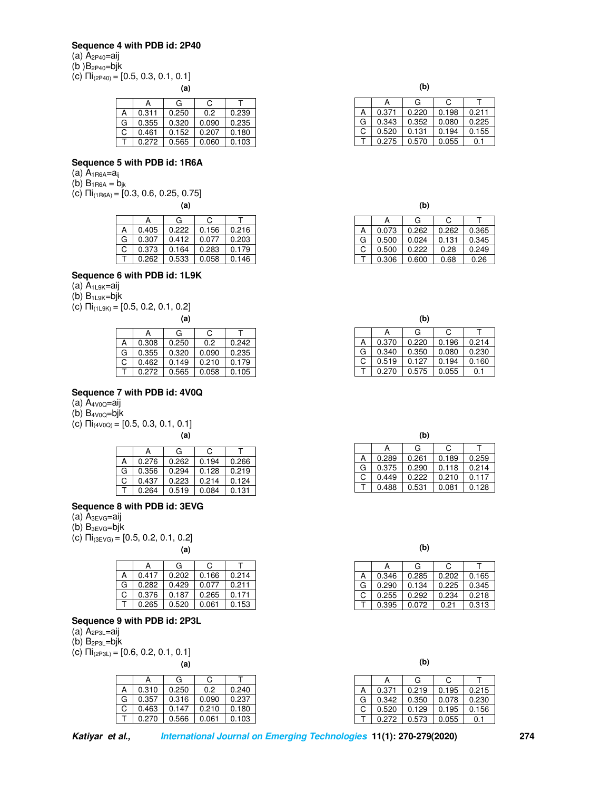## **Sequence 4 with PDB id: 2P40**

(a) A<sub>2P40</sub>=aij

(b ) $B_{2P40}$ =bjk

(c)  $\Pi_{(2P40)} = [0.5, 0.3, 0.1, 0.1]$ 

|   |       | G     | C.    |       |
|---|-------|-------|-------|-------|
| А | 0.311 | 0.250 | 0.2   | 0.239 |
| G | 0.355 | 0.320 | 0.090 | 0.235 |
| C | 0.461 | 0.152 | 0.207 | 0.180 |
|   | 0.272 | 0.565 | 0.060 | 0.103 |

#### **Sequence 5 with PDB id: 1R6A**

- (a)  $A_{1R6A}=a_{ij}$
- (b)  $B_{1R6A} = b_{ik}$
- (c)  $\prod_{(1R6A)}$  = [0.3, 0.6, 0.25, 0.75]

|   |       | G     | C     |       |
|---|-------|-------|-------|-------|
| А | 0.405 | 0.222 | 0.156 | 0.216 |
| G | 0.307 | 0.412 | 0.077 | 0.203 |
| C | 0.373 | 0.164 | 0.283 | 0.179 |
|   | 0.262 | 0.533 | 0.058 | 0.146 |

### **Sequence 6 with PDB id: 1L9K**

(a)  $A_{1L9K}=a_{1}$ 

 $(b)$  B<sub>1L9K</sub>=bj $k$ 

(c) Πi(1L9K) = [0.5, 0.2, 0.1, 0.2]

|   |       | (a)   |       |       |
|---|-------|-------|-------|-------|
|   |       | G     | C.    |       |
| А | 0.308 | 0.250 | 0.2   | 0.242 |
| G | 0.355 | 0.320 | 0.090 | 0.235 |
| C | 0.462 | 0.149 | 0.210 | 0.179 |
|   | 0.272 | 0.565 | 0.058 | 0.105 |

#### **Sequence 7 with PDB id: 4V0Q**

- (a)  $A_{4V0O}$ =aij
- $(b)$  B<sub>4V0Q</sub>=bj $k$
- (c)  $\Pi i_{(4V0Q)} = [0.5, 0.3, 0.1, 0.1]$

|   |       | G     | C     |       |
|---|-------|-------|-------|-------|
| А | 0.276 | 0.262 | 0.194 | 0.266 |
| G | 0.356 | 0.294 | 0.128 | 0.219 |
| С | 0.437 | 0.223 | 0.214 | 0.124 |
|   | 0.264 | 0.519 | 0.084 | 0.131 |

### **Sequence 8 with PDB id: 3EVG**

- (a)  $A_{3EVG}=aij$
- $(b)$  B<sub>3EVG</sub>=bj $k$
- (c)  $\Pi_{(3EVG)} = [0.5, 0.2, 0.1, 0.2]$

|  | (i |
|--|----|
|  |    |
|  |    |
|  |    |

|    |       | G     | С     |       |
|----|-------|-------|-------|-------|
| А  | 0.417 | 0.202 | 0.166 | 0.214 |
| G  | 0.282 | 0.429 | 0.077 | 0.211 |
| C. | 0.376 | 0.187 | 0.265 | 0.171 |
|    | 0.265 | 0.520 | 0.061 | 0.153 |

## **Sequence 9 with PDB id: 2P3L**

(a)  $A_{2P3L}$ =aij

 $(b)$  B<sub>2P3L</sub>=bj $k$ 

(c)  $\Pi_{(2P3L)} = [0.6, 0.2, 0.1, 0.1]$ 

|   |       | G     | С     |       |
|---|-------|-------|-------|-------|
| А | 0.310 | 0.250 | 0.2   | 0.240 |
| G | 0.357 | 0.316 | 0.090 | 0.237 |
| C | 0.463 | 0.147 | 0.210 | 0.180 |
|   | 0.270 | 0.566 | 0.061 | 0.103 |

|  | i  |
|--|----|
|  | ۰. |

|            |  |   |       | (b)   |       |
|------------|--|---|-------|-------|-------|
|            |  |   |       | G     |       |
| 0.239      |  | n | 0.371 | 0.220 | 0.198 |
| 0.235      |  | G | 0.343 | 0.352 | 0.080 |
| ⌒<br>0.180 |  |   | 0.520 | .131  | 0.194 |
| 0.103      |  |   | 0.275 | 0.570 | 0.055 |

| (a) |       |       |        |       | (b)   |       |       |
|-----|-------|-------|--------|-------|-------|-------|-------|
|     |       |       |        | А     | G     | С     |       |
| 22  | 0.156 | 0.216 | Α      | 0.073 | 0.262 | 0.262 | 0.365 |
| 12  | 0.077 | 0.203 | G      | 0.500 | 0.024 | 0.131 | 0.345 |
| 64  | 0.283 | 0.179 | ⌒<br>U | 0.500 | 0.222 | 0.28  | 0.249 |
| 33  | 0.058 | 0.146 |        | 0.306 | 0.600 | 0.68  | 0.26  |

| (a) |       |       |        |       | (b)   |       |       |
|-----|-------|-------|--------|-------|-------|-------|-------|
|     |       |       |        |       | G     |       |       |
| 50  | 0.2   | 0.242 | n      | 0.370 | 0.220 | 0.196 | 0.214 |
| 20  | 0.090 | 0.235 | G      | 0.340 | 0.350 | 0.080 | 0.230 |
| 49  | 0.210 | 0.179 | ⌒<br>U | 0.519 | 0.127 | 0.194 | 0.160 |
| 65  | 0.058 | 0.105 |        | 0.270 | 0.575 | 0.055 | 0.1   |

|   | 0.266 |
|---|-------|
| G | 0.219 |
| С | 0.124 |
|   | 131   |

**(a) (b)** 

|   |       | G     | C     |       |
|---|-------|-------|-------|-------|
| А | 0.346 | 0.285 | 0.202 | 0.165 |
| G | 0.290 | 0.134 | 0.225 | 0.345 |
| C | 0.255 | 0.292 | 0.234 | 0.218 |
|   | 0.395 | 0.072 | 0.21  | 0.313 |

**(a) (b)** 

|   |       | G     | C.    |       |
|---|-------|-------|-------|-------|
| А | 0.371 | 0.219 | 0.195 | 0.215 |
| G | 0.342 | 0.350 | 0.078 | 0.230 |
| C | 0.520 | 0.129 | 0.195 | 0.156 |
|   | 0.272 | 0.573 | 0.055 |       |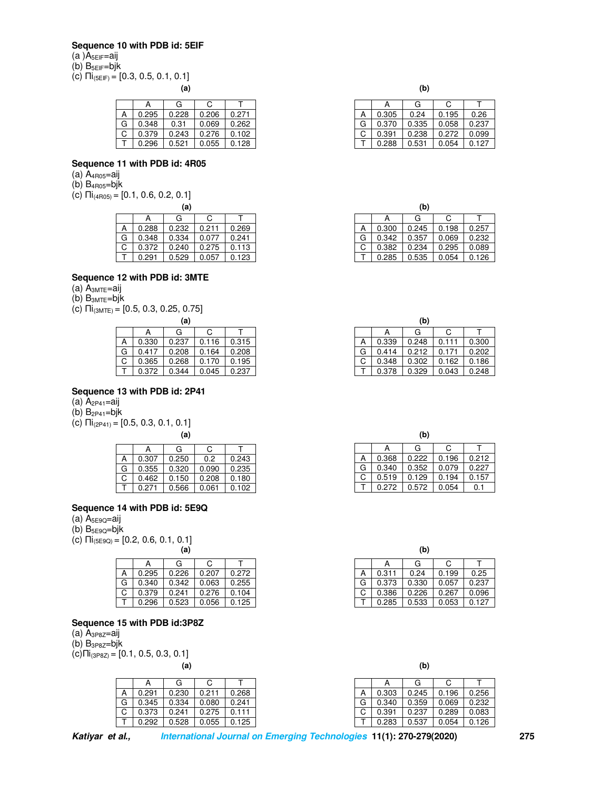#### **Sequence 10 with PDB id: 5EIF**

(a )A<sub>5EIF</sub>=aij

(b) B5EIF=bjk

(c)  $\Pi_{(5EIF)} = [0.3, 0.5, 0.1, 0.1]$ 

|   |       | G     | C     |       |
|---|-------|-------|-------|-------|
| А | 0.295 | 0.228 | 0.206 | 0.271 |
| G | 0.348 | 0.31  | 0.069 | 0.262 |
| C | 0.379 | 0.243 | 0.276 | 0.102 |
|   | 0.296 | 0.521 | 0.055 | 0.128 |

### **Sequence 11 with PDB id: 4R05**

- (a) A4R05=aij
- $(b)$  B<sub>4R05</sub>=bj $k$
- (c)  $\overline{\text{11}}_{(4\text{R05})}$  = [0.1, 0.6, 0.2, 0.1]

| (a) |       |       |       |       |  |  |
|-----|-------|-------|-------|-------|--|--|
|     |       | G     | С     |       |  |  |
| А   | 0.288 | 0.232 | 0.211 | 0.269 |  |  |
| G   | 0.348 | 0.334 | 0.077 | 0.241 |  |  |
| C   | 0.372 | 0.240 | 0.275 | 0.113 |  |  |
|     | 0.291 | 0.529 | 0.057 | 0.123 |  |  |

### **Sequence 12 with PDB id: 3MTE**

- (a)  $A_{3MTE}$ =aij
- $(b)$   $B_{3MTE} = bjk$
- (c)  $\Pi$ <sub>(3MTE)</sub> = [0.5, 0.3, 0.25, 0.75]

| (a)          |       |       |       |       |  |  |
|--------------|-------|-------|-------|-------|--|--|
|              | А     | G     | C     |       |  |  |
| A            | 0.330 | 0.237 | 0.116 | 0.315 |  |  |
| G            | 0.417 | 0.208 | 0.164 | 0.208 |  |  |
| C            | 0.365 | 0.268 | 0.170 | 0.195 |  |  |
| $\mathsf{T}$ | 0.372 | 0.344 | 0.045 | 0.237 |  |  |

## **Sequence 13 with PDB id: 2P41**

- (a)  $A_{2P41} = a_{ij}$
- $(b)$  B<sub>2P41</sub>=bj $k$
- (c)  $\Pi_{(2P41)} = [0.5, 0.3, 0.1, 0.1]$

|   |       | G     | C     |       |
|---|-------|-------|-------|-------|
| А | 0.307 | 0.250 | 0.2   | 0.243 |
| G | 0.355 | 0.320 | 0.090 | 0.235 |
| С | 0.462 | 0.150 | 0.208 | 0.180 |
|   | በ 271 | 0.566 | 0.061 | 0.102 |

### **Sequence 14 with PDB id: 5E9Q**

- (a) A5E9Q=aij
- (b)  $B_{5E9Q} = bjk$
- (c)  $\overline{\Pi}$ <sub>(5E9Q)</sub> = [0.2, 0.6, 0.1, 0.1]<br>(a)

|   |       | G     | C.    |       |
|---|-------|-------|-------|-------|
|   | 0.295 | 0.226 | 0.207 | 0.272 |
| G | 0.340 | 0.342 | 0.063 | 0.255 |
| C | 0.379 | 0.241 | 0.276 | 0.104 |
|   | 0.296 | 0.523 | 0.056 | 0.125 |

#### **Sequence 15 with PDB id:3P8Z**

- (a)  $A_{3P8Z}=a_{1}i$
- $(b)$  B<sub>3P8Z</sub>=bj $k$

 $(c)$ Πi<sub>(3P8Z)</sub> = [0.1, 0.5, 0.3, 0.1]

|   | А     | G     | C     |       |
|---|-------|-------|-------|-------|
| А | 0.291 | 0.230 | 0.211 | 0.268 |
| G | 0.345 | 0.334 | 0.080 | 0.241 |
| C | 0.373 | 0.241 | 0.275 | 0.111 |
|   | 0.292 | 0.528 | 0.055 | 0.125 |
|   |       |       |       |       |

| (a) | (b) |  |
|-----|-----|--|
|     |     |  |

|   | А     | G     | C     |       |
|---|-------|-------|-------|-------|
| А | 0.305 | 0.24  | 0.195 | 0.26  |
| G | 0.370 | 0.335 | 0.058 | 0.237 |
| C | 0.391 | 0.238 | 0.272 | 0.099 |
|   | 0.288 | 0.531 | 0.054 | 0.127 |

| (a) |       |       |   |       | (b)   |       |  |
|-----|-------|-------|---|-------|-------|-------|--|
|     |       |       |   |       | G     | С     |  |
| 32  | 0.211 | 0.269 | А | 0.300 | 0.245 | 0.198 |  |
| 34  | 0.077 | 0.241 | G | 0.342 | 0.357 | 0.069 |  |
| 40  | 0.275 | 113   | ◡ | 0.382 | 0.234 | 0.295 |  |
| 29  | 0.057 | 0.123 |   | 0.285 | 0.535 | 0.054 |  |

| (a) |       |       |        |       | (b)   |       |
|-----|-------|-------|--------|-------|-------|-------|
|     |       |       |        |       | G     | С     |
| 37  | 0.116 | 0.315 | Α      | 0.339 | 0.248 |       |
| 98  | 0.164 | 0.208 | G      | 0.414 | 0.212 |       |
| 68  | 0.170 | 0.195 | ⌒<br>◡ | 0.348 | 0.302 | 0.162 |
| 44  | 0.045 | 0.237 |        | 0.378 | 0.329 | 0.043 |

| (a) |       |       |        |       | (b)   |       |       |
|-----|-------|-------|--------|-------|-------|-------|-------|
|     |       |       |        | A     | G     |       |       |
| 50  | 0.2   | 0.243 | Α      | 0.368 | 0.222 | 0.196 | 0.212 |
| 20  | 0.090 | 0.235 | G      | 0.340 | 0.352 | 0.079 | 0.227 |
| 50  | 0.208 | 0.180 | ⌒<br>U | 0.519 | 0.129 | 0.194 | 0.157 |
| 66  | 0.061 | 0.102 |        | 0.272 | 0.572 | 0.054 | 0.1   |

| . .<br>(a) |  |  |  | (b) |  |
|------------|--|--|--|-----|--|
|            |  |  |  |     |  |

|   |       | G     | С     |       |
|---|-------|-------|-------|-------|
| А | 0.311 | 0.24  | 0.199 | 0.25  |
| G | 0.373 | 0.330 | 0.057 | 0.237 |
| C | 0.386 | 0.226 | 0.267 | 0.096 |
|   | 0.285 | 0.533 | 0.053 | 0.127 |

 **(a) (b)** 

|   |       | G     | C     |       |
|---|-------|-------|-------|-------|
| А | 0.303 | 0.245 | 0.196 | 0.256 |
| G | 0.340 | 0.359 | 0.069 | 0.232 |
| C | 0.391 | 0.237 | 0.289 | 0.083 |
|   | 0.283 | 0.537 | 0.054 | 0.126 |
|   |       |       |       |       |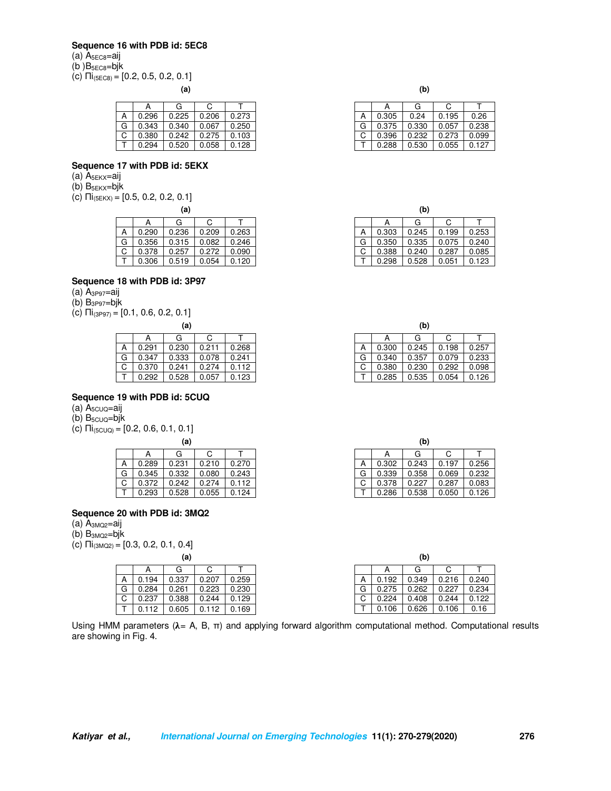#### **Sequence 16 with PDB id: 5EC8**

(a) A<sub>5EC8</sub>=aij

(b ) $B_{5EC8}$ =bjk

(c)  $\overline{\Pi}_{(5ECB)} = [0.2, 0.5, 0.2, 0.1]$ 

**(a) (b)** 

|   |       | G     | C     |       |
|---|-------|-------|-------|-------|
| А | 0.296 | 0.225 | 0.206 | 0.273 |
| G | 0.343 | 0.340 | 0.067 | 0.250 |
| C | 0.380 | 0.242 | 0.275 | 0.103 |
|   | 0.294 | 0.520 | 0.058 | 0.128 |

#### **Sequence 17 with PDB id: 5EKX**

(a) A5EKX=aij

 $(b)$  B<sub>5EKX</sub>=bj $k$ 

(c)  $\Pi$ <sub>(5EKX)</sub> = [0.5, 0.2, 0.2, 0.1]

|   | А     | G     | C     |       |
|---|-------|-------|-------|-------|
| А | 0.290 | 0.236 | 0.209 | 0.263 |
| G | 0.356 | 0.315 | 0.082 | 0.246 |
| C | 0.378 | 0.257 | 0.272 | 0.090 |
|   | 0.306 | 0.519 | 0.054 | 0.120 |
|   |       |       |       |       |

## **Sequence 18 with PDB id: 3P97**

 $(a)$   $A_{3P97}=aij$ 

- (b)  $B_{3P97} = bjk$
- (c)  $\prod_{(3P97)}$  = [0.1, 0.6, 0.2, 0.1]

| w., |       |       |       |       |  |  |
|-----|-------|-------|-------|-------|--|--|
|     | А     | G     | C     |       |  |  |
|     | 0.291 | 0.230 | 0.211 | 0.268 |  |  |
| G   | 0.347 | 0.333 | 0.078 | 0.241 |  |  |
| C   | 0.370 | 0.241 | 0.274 | 0.112 |  |  |
|     | 0.292 | 0.528 | 0.057 | 0.123 |  |  |

#### **Sequence 19 with PDB id: 5CUQ**

- $(A)$  A<sub>5CUQ</sub>=aij
- $(b)$  B<sub>5CUQ</sub>=bjk

(c)  $\Pi_{(5CUQ)} = [0.2, 0.6, 0.1, 0.1]$ 

|   | А     | G     | C     |       |
|---|-------|-------|-------|-------|
| А | 0.289 | 0.231 | 0.210 | 0.270 |
| G | 0.345 | 0.332 | 0.080 | 0.243 |
| C | 0.372 | 0.242 | 0.274 | 0.112 |
|   | 0.293 | 0.528 | 0.055 | 0.124 |

## **Sequence 20 with PDB id: 3MQ2**

- (a)  $A_{3MQ2}$ =aij
- $(b)$  B<sub>3MQ2</sub>=bj $k$
- (c)  $\prod_{(3MQ2)}$  = [0.3, 0.2, 0.1, 0.4]

|   | А     | G     | C     |       |  |  |
|---|-------|-------|-------|-------|--|--|
| А | 0.194 | 0.337 | 0.207 | 0.259 |  |  |
| G | 0.284 | 0.261 | 0.223 | 0.230 |  |  |
| C | 0.237 | 0.388 | 0.244 | 0.129 |  |  |
|   | 0.112 | 0.605 | 0.112 | 0.169 |  |  |

| 0.192 | А      |
|-------|--------|
| 0.275 | G      |
| 0.224 | ⌒<br>U |
| 0.106 |        |

Using HMM parameters ( $\lambda$  = A, B,  $\pi$ ) and applying forward algorithm computational method. Computational results are showing in Fig. 4.

|   |       | G     | C     |       |
|---|-------|-------|-------|-------|
| А | 0.305 | 0.24  | 0.195 | 0.26  |
| G | 0.375 | 0.330 | 0.057 | 0.238 |
| С | 0.396 | 0.232 | 0.273 | 0.099 |
|   | 0.288 | 0.530 | 0.055 | 0.127 |

| (a) |       |       |                 |       | (b)   |       |       |
|-----|-------|-------|-----------------|-------|-------|-------|-------|
|     |       |       |                 |       | G     |       |       |
| 36  | 0.209 | 0.263 | n               | 0.303 | 0.245 | 0.199 | 0.253 |
| 15  | 0.082 | 0.246 | G               | 0.350 | 0.335 | 0.075 | 0.240 |
| 57  | 0.272 | 0.090 | $\sqrt{2}$<br>U | 0.388 | 0.240 | 0.287 | 0.085 |
| 19  | 0.054 | 0.120 |                 | 0.298 | 0.528 | 0.051 | 0.123 |

| (a)          |       |       |        |       | (b)   |       |       |
|--------------|-------|-------|--------|-------|-------|-------|-------|
|              |       |       |        |       | G     |       |       |
|              | 0.211 | 0.268 | A      | 0.300 | 0.245 | 0.198 |       |
| 0.078        |       | 0.241 | G      | 0.340 | 0.357 | 0.079 | 0.233 |
| 0.274        |       | 112   | ⌒<br>ັ | 0.380 | 0.230 | 0.292 | 0.098 |
| 123<br>0.057 |       |       |        | 0.285 | 0.535 | 0.054 | 0.126 |

| Α     |   | 0.270 |
|-------|---|-------|
| G     |   | 0.243 |
| 0.378 | С | .112  |
| 0.286 |   | 0.124 |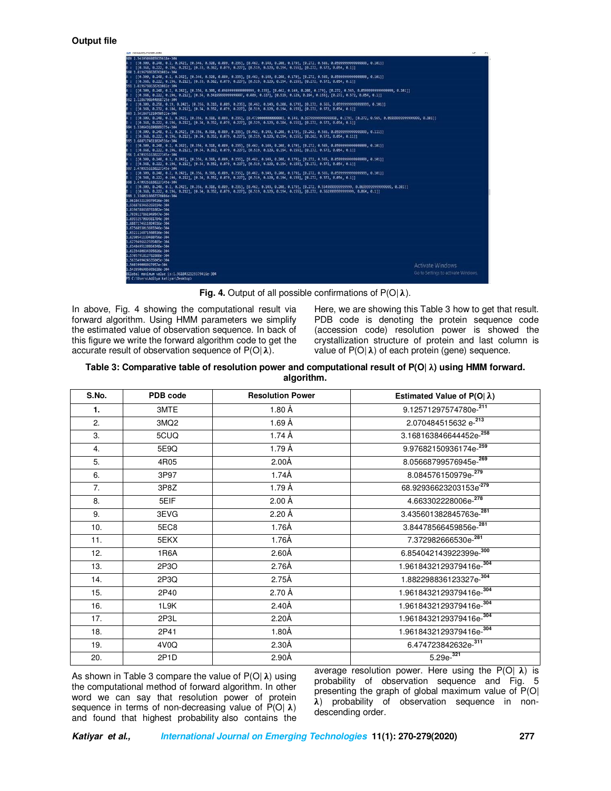

**Fig. 4.** Output of all possible confirmations of  $P(O|\lambda)$ .

In above, Fig. 4 showing the computational result via forward algorithm. Using HMM parameters we simplify the estimated value of observation sequence. In back of this figure we write the forward algorithm code to get the accurate result of observation sequence of  $P(O | \lambda)$ .

Here, we are showing this Table 3 how to get that result. PDB code is denoting the protein sequence code (accession code) resolution power is showed the crystallization structure of protein and last column is value of  $P(O | \lambda)$  of each protein (gene) sequence.

| Table 3: Comparative table of resolution power and computational result of $P(O   \lambda)$ using HMM forward. |
|----------------------------------------------------------------------------------------------------------------|
| algorithm.                                                                                                     |

| S.No. | PDB code          | <b>Resolution Power</b> | Estimated Value of $P(O \lambda)$  |
|-------|-------------------|-------------------------|------------------------------------|
| 1.    | 3MTE              | 1.80Å                   | 9.12571297574780e-211              |
| 2.    | 3MQ <sub>2</sub>  | 1.69Å                   | 2.070484515632 e-213               |
| 3.    | 5CUQ              | 1.74 Å                  | 3.168163846644452e-258             |
| 4.    | 5E9Q              | 1.79 Å                  | 9.97682150936174e-259              |
| 5.    | 4R05              | 2.00Å                   | 8.05668799576945e-269              |
| 6.    | 3P97              | 1.74Å                   | 8.084576150979e-279                |
| 7.    | 3P8Z              | 1.79 Å                  | 68.92936623203153e <sup>-279</sup> |
| 8.    | 5EIF              | 2.00Å                   | 4.663302228006e-278                |
| 9.    | 3EVG              | 2.20 Å                  | 3.435601382845763e-281             |
| 10.   | 5EC8              | 1.76Å                   | 3.84478566459856e-281              |
| 11.   | 5EKX              | 1.76Å                   | 7.372982666530e-281                |
| 12.   | 1R6A              | 2.60Å                   | 6.854042143922399e-300             |
| 13.   | 2P3O              | 2.76Å                   | 1.9618432129379416e-304            |
| 14.   | 2P3Q              | 2.75Å                   | 1.882298836123327e-304             |
| 15.   | 2P40              | 2.70Å                   | 1.9618432129379416e-304            |
| 16.   | 1L9K              | 2.40Å                   | 1.9618432129379416e-304            |
| 17.   | 2P3L              | 2.20Å                   | 1.9618432129379416e-304            |
| 18.   | 2P41              | 1.80Å                   | 1.9618432129379416e-304            |
| 19.   | 4V0Q              | 2.30Å                   | 6.474723842632e-311                |
| 20.   | 2P <sub>1</sub> D | 2.90Å                   | $5.29e^{-321}$                     |

As shown in Table 3 compare the value of  $P(O | \lambda)$  using the computational method of forward algorithm. In other word we can say that resolution power of protein sequence in terms of non-decreasing value of  $P(O | \lambda)$ and found that highest probability also contains the average resolution power. Here using the  $P(O | \lambda)$  is probability of observation sequence and Fig. 5 presenting the graph of global maximum value of P(O| ) probability of observation sequence in nondescending order.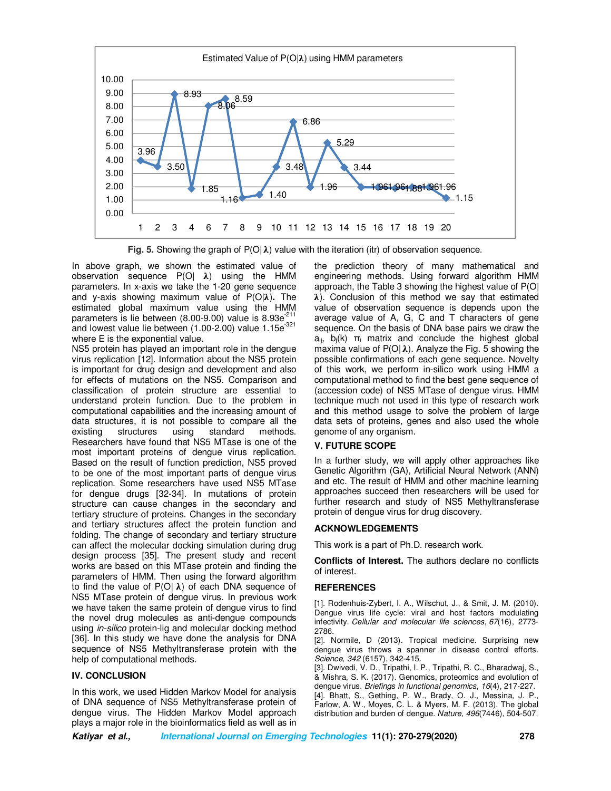

**Fig. 5.** Showing the graph of  $P(O|\lambda)$  value with the iteration (itr) of observation sequence.

In above graph, we shown the estimated value of observation sequence  $P(O \mid \lambda)$  using the HMM parameters. In x-axis we take the 1-20 gene sequence and y-axis showing maximum value of P(O| $\lambda$ ). The estimated global maximum value using the HMM parameters is lie between (8.00-9.00) value is 8.93e $^{211}$ and lowest value lie between (1.00-2.00) value 1.15e<sup>-321</sup> where E is the exponential value.

NS5 protein has played an important role in the dengue virus replication [12]. Information about the NS5 protein is important for drug design and development and also for effects of mutations on the NS5. Comparison and classification of protein structure are essential to understand protein function. Due to the problem in computational capabilities and the increasing amount of data structures, it is not possible to compare all the existing structures using standard methods. Researchers have found that NS5 MTase is one of the most important proteins of dengue virus replication. Based on the result of function prediction, NS5 proved to be one of the most important parts of dengue virus replication. Some researchers have used NS5 MTase for dengue drugs [32-34]. In mutations of protein structure can cause changes in the secondary and tertiary structure of proteins. Changes in the secondary and tertiary structures affect the protein function and folding. The change of secondary and tertiary structure can affect the molecular docking simulation during drug design process [35]. The present study and recent works are based on this MTase protein and finding the parameters of HMM. Then using the forward algorithm to find the value of  $P(O | \lambda)$  of each DNA sequence of NS5 MTase protein of dengue virus. In previous work we have taken the same protein of dengue virus to find the novel drug molecules as anti-dengue compounds using *in-silico* protein-lig and molecular docking method [36]. In this study we have done the analysis for DNA sequence of NS5 Methyltransferase protein with the help of computational methods.

## **IV. CONCLUSION**

In this work, we used Hidden Markov Model for analysis of DNA sequence of NS5 Methyltransferase protein of dengue virus. The Hidden Markov Model approach plays a major role in the bioinformatics field as well as in the prediction theory of many mathematical and engineering methods. Using forward algorithm HMM approach, the Table 3 showing the highest value of P(O|  $\lambda$ ). Conclusion of this method we say that estimated value of observation sequence is depends upon the average value of A, G, C and T characters of gene sequence. On the basis of DNA base pairs we draw the  $a_{ii}$ ,  $b_i(k)$   $\pi_i$  matrix and conclude the highest global maxima value of  $P(O | \lambda)$ . Analyze the Fig. 5 showing the possible confirmations of each gene sequence. Novelty of this work, we perform in-silico work using HMM a computational method to find the best gene sequence of (accession code) of NS5 MTase of dengue virus. HMM technique much not used in this type of research work and this method usage to solve the problem of large data sets of proteins, genes and also used the whole genome of any organism.

# **V. FUTURE SCOPE**

In a further study, we will apply other approaches like Genetic Algorithm (GA), Artificial Neural Network (ANN) and etc. The result of HMM and other machine learning approaches succeed then researchers will be used for further research and study of NS5 Methyltransferase protein of dengue virus for drug discovery.

## **ACKNOWLEDGEMENTS**

This work is a part of Ph.D. research work.

**Conflicts of Interest.** The authors declare no conflicts of interest.

## **REFERENCES**

[1]. Rodenhuis-Zybert, I. A., Wilschut, J., & Smit, J. M. (2010). Dengue virus life cycle: viral and host factors modulating infectivity. *Cellular and molecular life sciences*, *67*(16), 2773- 2786.

[2]. Normile, D (2013). Tropical medicine. Surprising new dengue virus throws a spanner in disease control efforts. *Science*, *342* (6157), 342-415.

[3]. Dwivedi, V. D., Tripathi, I. P., Tripathi, R. C., Bharadwaj, S., & Mishra, S. K. (2017). Genomics, proteomics and evolution of dengue virus. *Briefings in functional genomics*, *16*(4), 217-227. [4]. Bhatt, S., Gething, P. W., Brady, O. J., Messina, J. P.,

Farlow, A. W., Moyes, C. L. & Myers, M. F. (2013). The global distribution and burden of dengue. *Nature*, *496*(7446), 504-507.